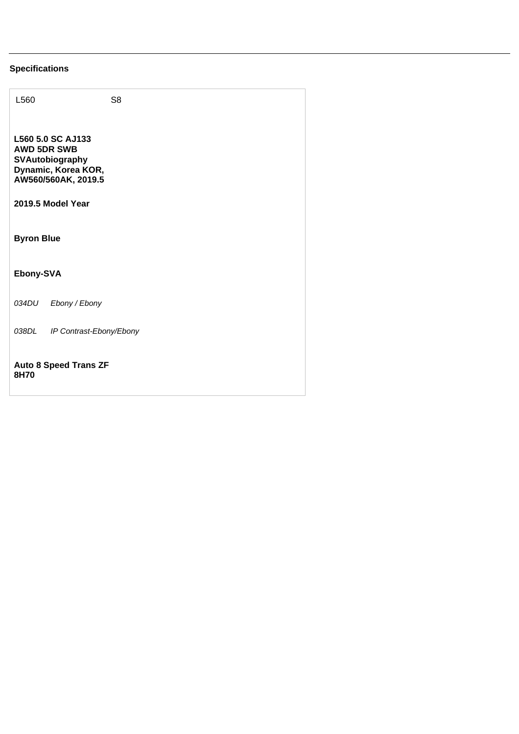## **Specifications**

| L560                                                                                                                          | S <sub>8</sub> |  |
|-------------------------------------------------------------------------------------------------------------------------------|----------------|--|
| L560 5.0 SC AJ133<br><b>AWD 5DR SWB</b><br>SVAutobiography<br>Dynamic, Korea KOR,<br>AW560/560AK, 2019.5<br>2019.5 Model Year |                |  |
| <b>Byron Blue</b>                                                                                                             |                |  |
| Ebony-SVA                                                                                                                     |                |  |
| 034DU<br>Ebony / Ebony                                                                                                        |                |  |
| 038DL<br>IP Contrast-Ebony/Ebony                                                                                              |                |  |
| <b>Auto 8 Speed Trans ZF</b><br>8H70                                                                                          |                |  |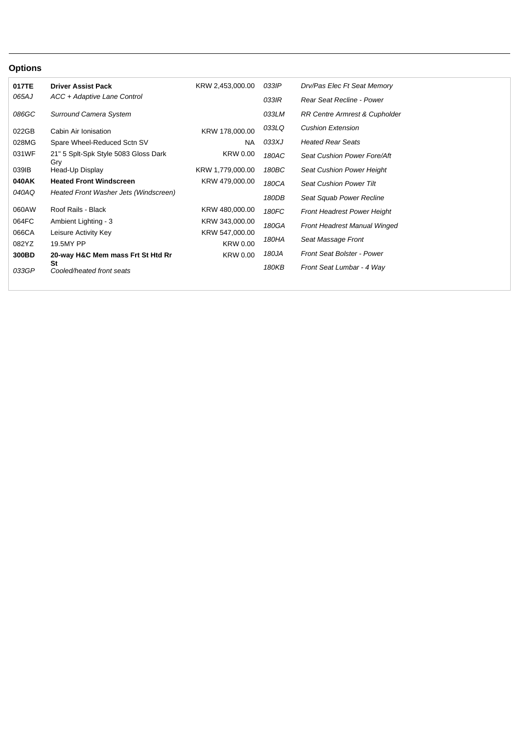## **Options**

| Drv/Pas Elec Ft Seat Memory                        | 033IP          | KRW 2,453,000.00 | <b>Driver Assist Pack</b>             | 017TE |
|----------------------------------------------------|----------------|------------------|---------------------------------------|-------|
| Rear Seat Recline - Power                          | 033IR          |                  | ACC + Adaptive Lane Control           | 065AJ |
| <b>RR Centre Armrest &amp; Cupholder</b>           | 033LM          |                  | <b>Surround Camera System</b>         | 086GC |
| <b>Cushion Extension</b>                           | 033LQ          | KRW 178,000.00   | Cabin Air Ionisation                  | 022GB |
| <b>Heated Rear Seats</b>                           | 033XJ          | NA               | Spare Wheel-Reduced Sctn SV           | 028MG |
| Seat Cushion Power Fore/Aft                        | 180AC          | <b>KRW 0.00</b>  | 21" 5 Splt-Spk Style 5083 Gloss Dark  | 031WF |
| Seat Cushion Power Height                          | 180BC          | KRW 1,779,000.00 | Head-Up Display                       | 039IB |
| <b>Seat Cushion Power Tilt</b>                     | 180CA          | KRW 479,000.00   | <b>Heated Front Windscreen</b>        | 040AK |
| Seat Squab Power Recline                           | 180DB          |                  | Heated Front Washer Jets (Windscreen) | 040AQ |
| <b>Front Headrest Power Height</b>                 | 180FC          | KRW 480,000.00   | Roof Rails - Black                    | 060AW |
|                                                    |                | KRW 343,000.00   | Ambient Lighting - 3                  | 064FC |
|                                                    |                | KRW 547,000.00   | Leisure Activity Key                  | 066CA |
|                                                    |                | <b>KRW 0.00</b>  | 19.5MY PP                             | 082YZ |
| <b>Front Seat Bolster - Power</b>                  | 180JA          | <b>KRW 0.00</b>  | 20-way H&C Mem mass Frt St Htd Rr     | 300BD |
| Front Seat Lumbar - 4 Way                          | 180KB          |                  | St<br>Cooled/heated front seats       | 033GP |
| Front Headrest Manual Winged<br>Seat Massage Front | 180GA<br>180HA |                  | Gry                                   |       |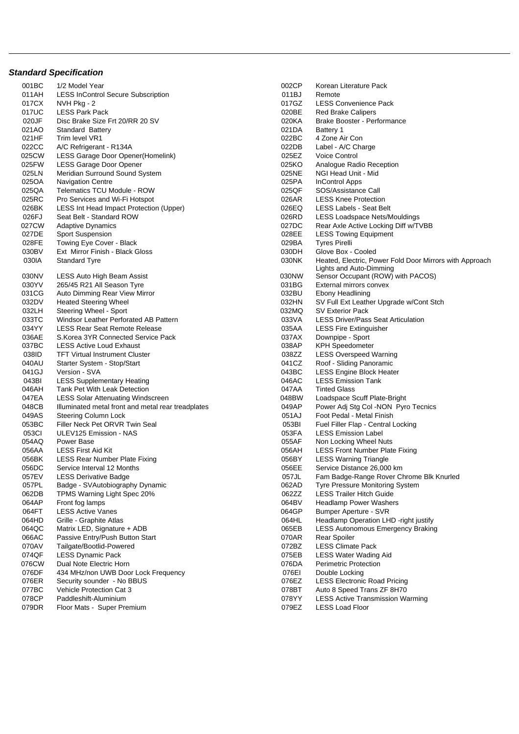## **Standard Specification**

001BC 1/2 Model Year 2002 CP 6002CP Korean Literature Pack 011AH LESS InControl Secure Subscription 
011AH LESS InControl Secure Subscription<br>
017CX NVH Pkg - 2 017CX NVH Pkg - 2 017GZ LESS Convenience Pack 017UC LESS Park Pack 020BE Red Brake Calipers 020JF Disc Brake Size Frt 20/RR 20 SV 020F 020KA Brake Booster - Performance 021AO Standard Battery 021DA Battery 1 021HF Trim level VR1 details and the control of the control of the control of the control of the control of the control of the control of the control of the control of the control of the control of the control of the contr 022CC A/C Refrigerant - R134A 025CW LESS Garage Door Opener(Homelink) and the control of the control of the control 025FW LESS Garage Door Opener 2002 025KO Analogue Radio Reception 025LN Meridian Surround Sound System **025LM** 025NE NGI Head Unit - Mid 025OA Navigation Centre 2006 Control Apps 25PA InControl Apps 025QA Telematics TCU Module - ROW 025QF SOS/Assistance Call 025RC Pro Services and Wi-Fi Hotspot 025RC Development of the USS Knee Protection 026BK LESS Int Head Impact Protection (Upper) 026EQ LESS Labels - Seat Belt 026FJ Seat Belt - Standard ROW 026RD LESS Loadspace Nets/Mouldings 027CW Adaptive Dynamics 027DC Rear Axle Active Locking Diff w/TVBB 027DE Sport Suspension 028EE LESS Towing Equipment<br>028FE Towing Eve Cover - Black 029BA Tyres Pirelli Towing Eye Cover - Black 030BV Ext Mirror Finish - Black Gloss 030DH Glove Box - Cooled 030NV LESS Auto High Beam Assist 630 and 130 and 130 and 130 and 130 and 130 and 130 and 130 and 130 and 130 and 130 and 130 and 130 and 130 and 130 and 130 and 130 and 130 and 130 and 130 and 130 and 130 and 130 and 130 a 030YV 265/45 R21 All Season Tyre 031 Convex 031BG External mirrors convex 031CG Auto Dimming Rear View Mirror **032BU Ebony Headlining** 032BU Ebony Headlining 032DV Heated Steering Wheel 032HN SV Full Ext Leather Upgrade w/Cont Stch 032LH Steering Wheel - Sport Contract Contract Contract Contract COS2MQ SV Exterior Pack 033TC Windsor Leather Perforated AB Pattern 033VA LESS Driver/Pass Seat Articulation 034YY LESS Rear Seat Remote Release 035AA LESS Fire Extinguisher 036AE S.Korea 3YR Connected Service Pack 037AX Downpipe - Sport 037BC LESS Active Loud Exhaust 2008 CONNECTED 1038AP KPH Speedometer 038ID TFT Virtual Instrument Cluster (Custer Contract on the USS Overspeed Warning of the USS Overspeed Warning<br>040AU Starter System - Stop/Start (Custer Contract Custer Contract Custer Contract Custer Contract Custer Cont 040AU Starter System - Stop/Start 041CZ 8041CZ 8041CZ 8041CZ 8041CZ 8041CZ 8041CZ out of the USS Engine Block Heater (1992) 1943 Metal of the USS Engine Block Heater (1943BC LESS Engine Block Heater (1946) 1946 MESS Emission Tank 043BI LESS Supplementary Heating 046AC LESS Emission Tank 046AH Tank Pet With Leak Detection **047AA** Tinted Glass 047EA LESS Solar Attenuating Windscreen and the control of the United Scuff Plate-Bright<br>048CB Illuminated metal front and metal rear treadplates of the Camping of the Power Adi Sta Col -NON Pyro Tecnics Illuminated metal front and metal rear treadplates 049AS Steering Column Lock 051AJ Foot Pedal - Metal Finish 053BC Filler Neck Pet ORVR Twin Seal and Control Communication of the Central Locking OS3BI Fuel Filler Flap - Central Locking of The Control of the Central Locking of the Control of the Central Locking OS3FA LESS Emission ULEV125 Emission - NAS 054AQ Power Base 055AF Non Locking Wheel Nuts 056AA LESS First Aid Kit 056AH LESS Front Number Plate Fixing 056BK LESS Rear Number Plate Fixing 056BY LESS Warning Triangle 056DC Service Interval 12 Months 056EE Service Distance 26,000 km Badge - SVAutobiography Dynamic 062DB TPMS Warning Light Spec 20% 062DB 1062DB TPMS Warning Light Spec 20% 062DB 064AP Front for lamps 064AP Front fog lamps 064BV Headlamp Power Washers 064HD Grille - Graphite Atlas **Communist Communist Communist Communist Communist Communist Communist Communist Communist Communist Communist Communist Communist Communist Communist Communist Communist Communist Communist C** 064QC Matrix LED, Signature + ADB 065EB LESS Autonomous Emergency Braking 066AC Passive Entry/Push Button Start 070AR Rear Spoiler 070AV Tailgate/Bootlid-Powered **072BZ** LESS Climate Pack 074QF LESS Dynamic Pack 075EB LESS Water Wading Aid<br>076CW Dual Note Flectric Horn 076CM 076DA Perimetric Protection 076CW Dual Note Electric Horn 076DA Perimetric Protection 076DF 434 MHz/non UWB Door Lock Frequency 076EI Double Locking 076ER Security sounder - No BBUS 076EZ LESS Electronic Road Pricing<br>077BC Vehicle Protection Cat 3 077BC 077BC 076EZ Auto 8 Speed Trans ZF 8H70 078CP Paddleshift-Aluminium 078YY LESS Active Transmission Warming 079DR Floor Mats - Super Premium and Control Control of Control of the COVID-1079DR LESS Load Floor

030IA Standard Tyre **030NK** Heated, Electric, Power Fold Door Mirrors with Approach Lights and Auto-Dimming 057EV LESS Derivative Badge<br>057PL Badge - SVAutobiography Dynamic Company of Cassic Company of Camera Construction of Chrome Blk Knurled Bumper Aperture - SVR Auto 8 Speed Trans ZF 8H70